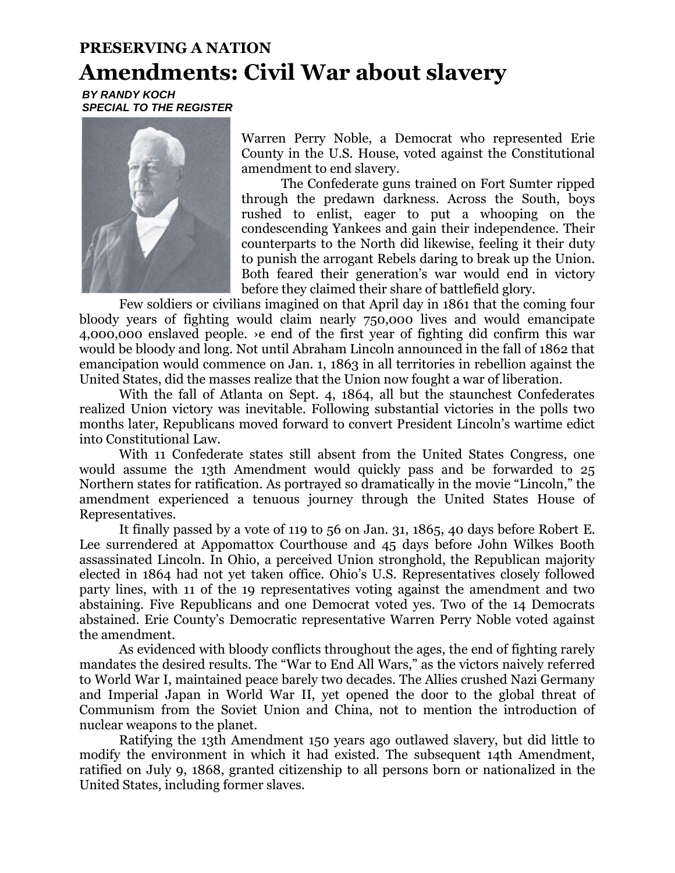## **PRESERVING A NATION Amendments: Civil War about slavery**

*BY RANDY KOCH SPECIAL TO THE REGISTER*



Warren Perry Noble, a Democrat who represented Erie County in the U.S. House, voted against the Constitutional amendment to end slavery.

The Confederate guns trained on Fort Sumter ripped through the predawn darkness. Across the South, boys rushed to enlist, eager to put a whooping on the condescending Yankees and gain their independence. Their counterparts to the North did likewise, feeling it their duty to punish the arrogant Rebels daring to break up the Union. Both feared their generation's war would end in victory before they claimed their share of battlefield glory.

Few soldiers or civilians imagined on that April day in 1861 that the coming four bloody years of fighting would claim nearly 750,000 lives and would emancipate 4,000,000 enslaved people. ›e end of the first year of fighting did confirm this war would be bloody and long. Not until Abraham Lincoln announced in the fall of 1862 that emancipation would commence on Jan. 1, 1863 in all territories in rebellion against the United States, did the masses realize that the Union now fought a war of liberation.

With the fall of Atlanta on Sept. 4, 1864, all but the staunchest Confederates realized Union victory was inevitable. Following substantial victories in the polls two months later, Republicans moved forward to convert President Lincoln's wartime edict into Constitutional Law.

With 11 Confederate states still absent from the United States Congress, one would assume the 13th Amendment would quickly pass and be forwarded to 25 Northern states for ratification. As portrayed so dramatically in the movie "Lincoln," the amendment experienced a tenuous journey through the United States House of Representatives.

It finally passed by a vote of 119 to 56 on Jan. 31, 1865, 40 days before Robert E. Lee surrendered at Appomattox Courthouse and 45 days before John Wilkes Booth assassinated Lincoln. In Ohio, a perceived Union stronghold, the Republican majority elected in 1864 had not yet taken office. Ohio's U.S. Representatives closely followed party lines, with 11 of the 19 representatives voting against the amendment and two abstaining. Five Republicans and one Democrat voted yes. Two of the 14 Democrats abstained. Erie County's Democratic representative Warren Perry Noble voted against the amendment.

As evidenced with bloody conflicts throughout the ages, the end of fighting rarely mandates the desired results. The "War to End All Wars," as the victors naively referred to World War I, maintained peace barely two decades. The Allies crushed Nazi Germany and Imperial Japan in World War II, yet opened the door to the global threat of Communism from the Soviet Union and China, not to mention the introduction of nuclear weapons to the planet.

Ratifying the 13th Amendment 150 years ago outlawed slavery, but did little to modify the environment in which it had existed. The subsequent 14th Amendment, ratified on July 9, 1868, granted citizenship to all persons born or nationalized in the United States, including former slaves.